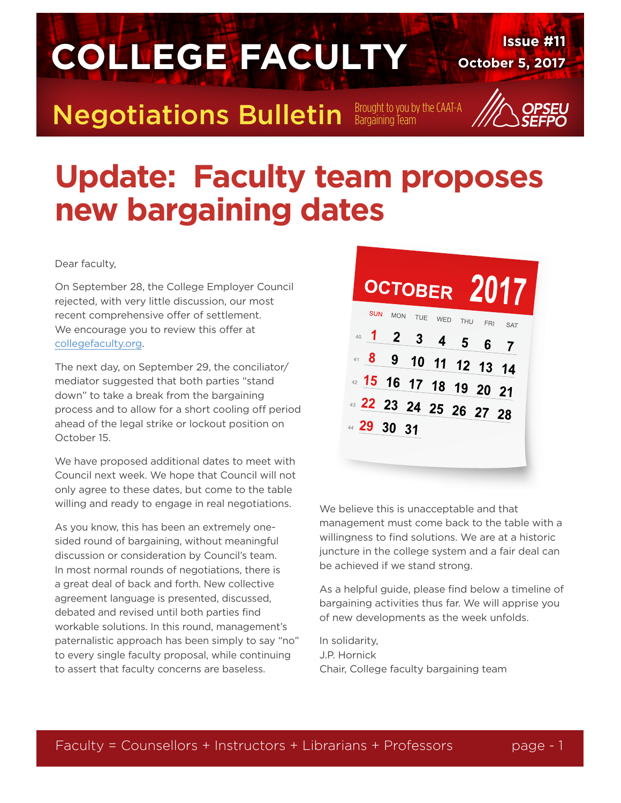

### **Update: Faculty team proposes new bargaining dates**

Dear faculty,

On September 28, the College Employer Council rejected, with very little discussion, our most recent comprehensive offer of settlement. We encourage you to review this offer at collegefaculty.org.

The next day, on September 29, the conciliator/ mediator suggested that both parties "stand down" to take a break from the bargaining process and to allow for a short cooling off period ahead of the legal strike or lockout position on October 15.

We have proposed additional dates to meet with Council next week. We hope that Council will not only agree to these dates, but come to the table willing and ready to engage in real negotiations.

As you know, this has been an extremely onesided round of bargaining, without meaningful discussion or consideration by Council's team. In most normal rounds of negotiations, there is a great deal of back and forth. New collective agreement language is presented, discussed, debated and revised until both parties find workable solutions. In this round, management's paternalistic approach has been simply to say "no" to every single faculty proposal, while continuing to assert that faculty concerns are baseless.



We believe this is unacceptable and that management must come back to the table with a willingness to find solutions. We are at a historic juncture in the college system and a fair deal can be achieved if we stand strong.

As a helpful guide, please find below a timeline of bargaining activities thus far. We will apprise you of new developments as the week unfolds.

In solidarity, J.P. Hornick Chair, College faculty bargaining team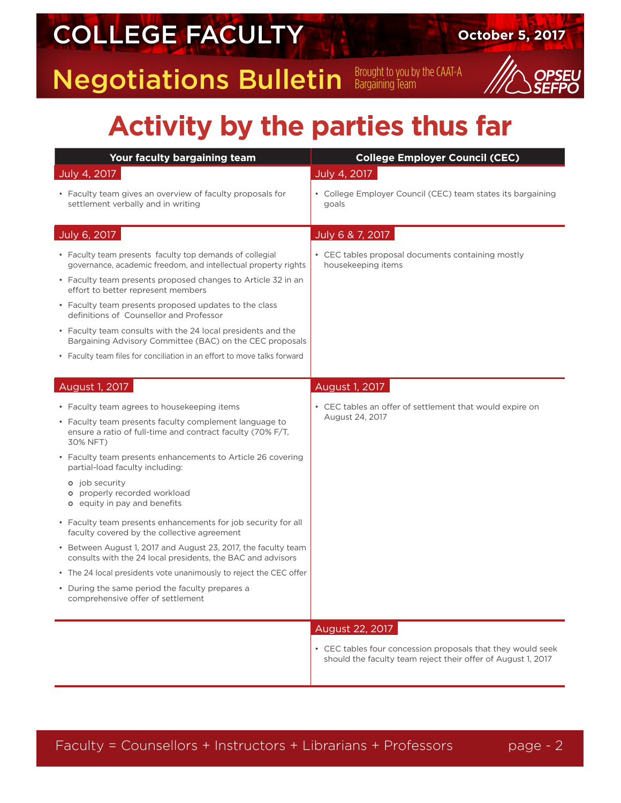## **COLLEGE FACULTY October 5, 2017**

**Negotiations Bulletin** Bargaining Team



#### **Activity by the parties thus far**

| Your faculty bargaining team                                                                                                     | <b>College Employer Council (CEC)</b>                                                                                       |  |
|----------------------------------------------------------------------------------------------------------------------------------|-----------------------------------------------------------------------------------------------------------------------------|--|
| July 4, 2017                                                                                                                     | July 4, 2017                                                                                                                |  |
| • Faculty team gives an overview of faculty proposals for<br>settlement verbally and in writing                                  | • College Employer Council (CEC) team states its bargaining<br>goals                                                        |  |
| July 6, 2017                                                                                                                     | July 6 & 7, 2017                                                                                                            |  |
| • Faculty team presents faculty top demands of collegial<br>governance, academic freedom, and intellectual property rights       | • CEC tables proposal documents containing mostly<br>housekeeping items                                                     |  |
| • Faculty team presents proposed changes to Article 32 in an<br>effort to better represent members                               |                                                                                                                             |  |
| • Faculty team presents proposed updates to the class<br>definitions of Counsellor and Professor                                 |                                                                                                                             |  |
| • Faculty team consults with the 24 local presidents and the<br>Bargaining Advisory Committee (BAC) on the CEC proposals         |                                                                                                                             |  |
| • Faculty team files for conciliation in an effort to move talks forward                                                         |                                                                                                                             |  |
| August 1, 2017                                                                                                                   | August 1, 2017                                                                                                              |  |
| • Faculty team agrees to housekeeping items                                                                                      | • CEC tables an offer of settlement that would expire on                                                                    |  |
| • Faculty team presents faculty complement language to<br>ensure a ratio of full-time and contract faculty (70% F/T,<br>30% NFT) | August 24, 2017                                                                                                             |  |
| • Faculty team presents enhancements to Article 26 covering<br>partial-load faculty including:                                   |                                                                                                                             |  |
| <b>o</b> job security<br>o properly recorded workload<br><b>o</b> equity in pay and benefits                                     |                                                                                                                             |  |
| • Faculty team presents enhancements for job security for all<br>faculty covered by the collective agreement                     |                                                                                                                             |  |
| • Between August 1, 2017 and August 23, 2017, the faculty team<br>consults with the 24 local presidents, the BAC and advisors    |                                                                                                                             |  |
| • The 24 local presidents vote unanimously to reject the CEC offer                                                               |                                                                                                                             |  |
| • During the same period the faculty prepares a<br>comprehensive offer of settlement                                             |                                                                                                                             |  |
|                                                                                                                                  | August 22, 2017                                                                                                             |  |
|                                                                                                                                  | • CEC tables four concession proposals that they would seek<br>should the faculty team reject their offer of August 1, 2017 |  |
|                                                                                                                                  |                                                                                                                             |  |